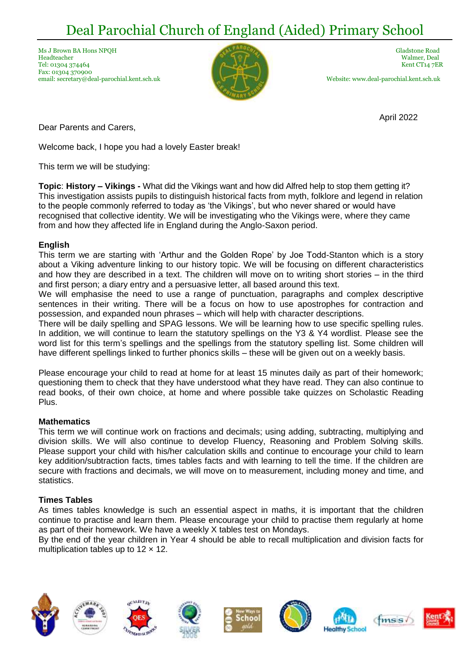# Deal Parochial Church of England (Aided) Primary School

Ms J Brown BA Hons NPOH Gladstone Road Company of the Company of the Company of Gladstone Road Gladstone Road Headteacher Walmer, Deal Tel: 01304 374464 Kent CT14 7ER Fax: 01304 370900 email: secretary@deal-parochial.kent.sch.uk Website: www.deal-parochial.kent.sch.uk



April 2022

Dear Parents and Carers,

Welcome back, I hope you had a lovely Easter break!

This term we will be studying:

**Topic**: **History – Vikings -** What did the Vikings want and how did Alfred help to stop them getting it? This investigation assists pupils to distinguish historical facts from myth, folklore and legend in relation to the people commonly referred to today as 'the Vikings', but who never shared or would have recognised that collective identity. We will be investigating who the Vikings were, where they came from and how they affected life in England during the Anglo-Saxon period.

#### **English**

This term we are starting with 'Arthur and the Golden Rope' by Joe Todd-Stanton which is a story about a Viking adventure linking to our history topic. We will be focusing on different characteristics and how they are described in a text. The children will move on to writing short stories – in the third and first person; a diary entry and a persuasive letter, all based around this text.

We will emphasise the need to use a range of punctuation, paragraphs and complex descriptive sentences in their writing. There will be a focus on how to use apostrophes for contraction and possession, and expanded noun phrases – which will help with character descriptions.

There will be daily spelling and SPAG lessons. We will be learning how to use specific spelling rules. In addition, we will continue to learn the statutory spellings on the Y3 & Y4 wordlist. Please see the word list for this term's spellings and the spellings from the statutory spelling list. Some children will have different spellings linked to further phonics skills – these will be given out on a weekly basis.

Please encourage your child to read at home for at least 15 minutes daily as part of their homework; questioning them to check that they have understood what they have read. They can also continue to read books, of their own choice, at home and where possible take quizzes on Scholastic Reading Plus.

#### **Mathematics**

This term we will continue work on fractions and decimals; using adding, subtracting, multiplying and division skills. We will also continue to develop Fluency, Reasoning and Problem Solving skills. Please support your child with his/her calculation skills and continue to encourage your child to learn key addition/subtraction facts, times tables facts and with learning to tell the time. If the children are secure with fractions and decimals, we will move on to measurement, including money and time, and statistics.

# **Times Tables**

As times tables knowledge is such an essential aspect in maths, it is important that the children continue to practise and learn them. Please encourage your child to practise them regularly at home as part of their homework. We have a weekly X tables test on Mondays.

By the end of the year children in Year 4 should be able to recall multiplication and division facts for multiplication tables up to  $12 \times 12$ .















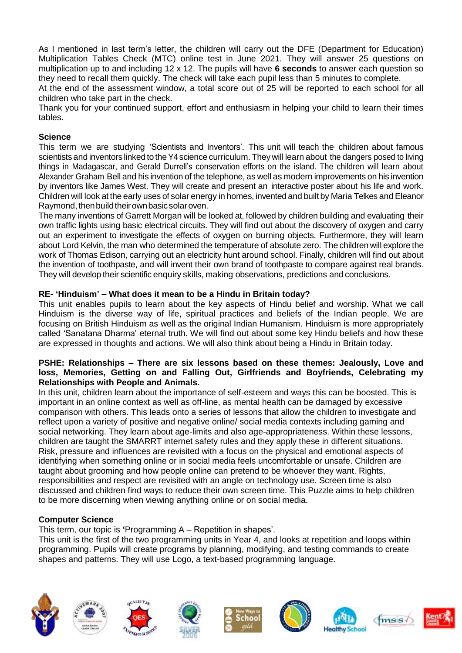As I mentioned in last term's letter, the children will carry out the DFE (Department for Education) Multiplication Tables Check (MTC) online test in June 2021. They will answer 25 questions on multiplication up to and including 12 x 12. The pupils will have **6 seconds** to answer each question so they need to recall them quickly. The check will take each pupil less than 5 minutes to complete.

At the end of the assessment window, a total score out of 25 will be reported to each school for all children who take part in the check.

Thank you for your continued support, effort and enthusiasm in helping your child to learn their times tables.

# **Science**

This term we are studying 'Scientists and Inventors'. This unit will teach the children about famous scientists and inventors linked to the Y4 science curriculum. They will learn about the dangers posed to living things in Madagascar, and Gerald Durrell's conservation efforts on the island. The children will learn about Alexander Graham Bell and his invention of the telephone, as well as modern improvements on his invention by inventors like James West. They will create and present an interactive poster about his life and work. Children will look at the early uses of solar energy in homes, invented and built by Maria Telkes and Eleanor Raymond, then build their own basic solar oven.

The many inventions of Garrett Morgan will be looked at, followed by children building and evaluating their own traffic lights using basic electrical circuits. They will find out about the discovery of oxygen and carry out an experiment to investigate the effects of oxygen on burning objects. Furthermore, they will learn about Lord Kelvin, the man who determined the temperature of absolute zero. The children will explore the work of Thomas Edison, carrying out an electricity hunt around school. Finally, children will find out about the invention of toothpaste, and will invent their own brand of toothpaste to compare against real brands. They will develop their scientific enquiry skills, making observations, predictions and conclusions.

# **RE- 'Hinduism' – What does it mean to be a Hindu in Britain today?**

This unit enables pupils to learn about the key aspects of Hindu belief and worship. What we call Hinduism is the diverse way of life, spiritual practices and beliefs of the Indian people. We are focusing on British Hinduism as well as the original Indian Humanism. Hinduism is more appropriately called 'Sanatana Dharma' eternal truth. We will find out about some key Hindu beliefs and how these are expressed in thoughts and actions. We will also think about being a Hindu in Britain today.

#### **PSHE: Relationships – There are six lessons based on these themes: Jealously, Love and loss, Memories, Getting on and Falling Out, Girlfriends and Boyfriends, Celebrating my Relationships with People and Animals.**

In this unit, children learn about the importance of self-esteem and ways this can be boosted. This is important in an online context as well as off-line, as mental health can be damaged by excessive comparison with others. This leads onto a series of lessons that allow the children to investigate and reflect upon a variety of positive and negative online/ social media contexts including gaming and social networking. They learn about age-limits and also age-appropriateness. Within these lessons, children are taught the SMARRT internet safety rules and they apply these in different situations. Risk, pressure and influences are revisited with a focus on the physical and emotional aspects of identifying when something online or in social media feels uncomfortable or unsafe. Children are taught about grooming and how people online can pretend to be whoever they want. Rights, responsibilities and respect are revisited with an angle on technology use. Screen time is also discussed and children find ways to reduce their own screen time. This Puzzle aims to help children to be more discerning when viewing anything online or on social media.

# **Computer Science**

This term, our topic is **'**Programming A – Repetition in shapes'.

This unit is the first of the two programming units in Year 4, and looks at repetition and loops within programming. Pupils will create programs by planning, modifying, and testing commands to create shapes and patterns. They will use Logo, a text-based programming language.